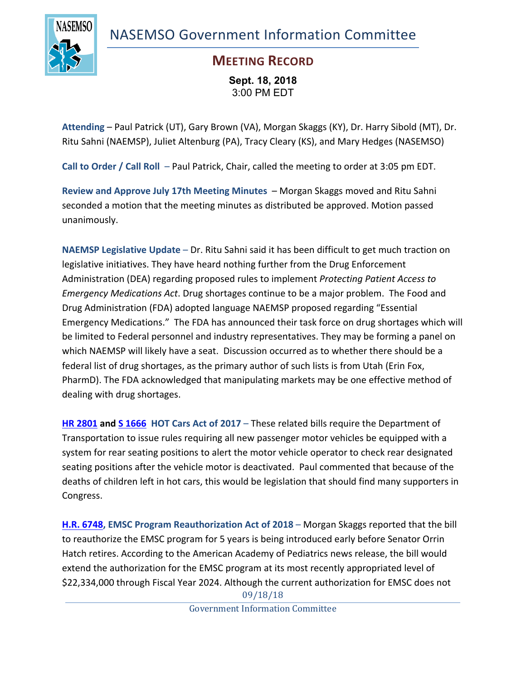NASEMSO Government Information Committee



## **MEETING RECORD**

**Sept. 18, 2018** 3:00 PM EDT

**Attending** – Paul Patrick (UT), Gary Brown (VA), Morgan Skaggs (KY), Dr. Harry Sibold (MT), Dr. Ritu Sahni (NAEMSP), Juliet Altenburg (PA), Tracy Cleary (KS), and Mary Hedges (NASEMSO)

**Call to Order / Call Roll** – Paul Patrick, Chair, called the meeting to order at 3:05 pm EDT.

**Review and Approve July 17th Meeting Minutes** – Morgan Skaggs moved and Ritu Sahni seconded a motion that the meeting minutes as distributed be approved. Motion passed unanimously.

**NAEMSP Legislative Update** – Dr. Ritu Sahni said it has been difficult to get much traction on legislative initiatives. They have heard nothing further from the Drug Enforcement Administration (DEA) regarding proposed rules to implement *Protecting Patient Access to Emergency Medications Act*. Drug shortages continue to be a major problem. The Food and Drug Administration (FDA) adopted language NAEMSP proposed regarding "Essential Emergency Medications." The FDA has announced their task force on drug shortages which will be limited to Federal personnel and industry representatives. They may be forming a panel on which NAEMSP will likely have a seat. Discussion occurred as to whether there should be a federal list of drug shortages, as the primary author of such lists is from Utah (Erin Fox, PharmD). The FDA acknowledged that manipulating markets may be one effective method of dealing with drug shortages.

**HR 2801 and S 1666 HOT Cars Act of 2017** – These related bills require the Department of Transportation to issue rules requiring all new passenger motor vehicles be equipped with a system for rear seating positions to alert the motor vehicle operator to check rear designated seating positions after the vehicle motor is deactivated. Paul commented that because of the deaths of children left in hot cars, this would be legislation that should find many supporters in Congress.

09/18/18 **H.R. 6748, EMSC Program Reauthorization Act of 2018** – Morgan Skaggs reported that the bill to reauthorize the EMSC program for 5 years is being introduced early before Senator Orrin Hatch retires. According to the American Academy of Pediatrics news release, the bill would extend the authorization for the EMSC program at its most recently appropriated level of \$22,334,000 through Fiscal Year 2024. Although the current authorization for EMSC does not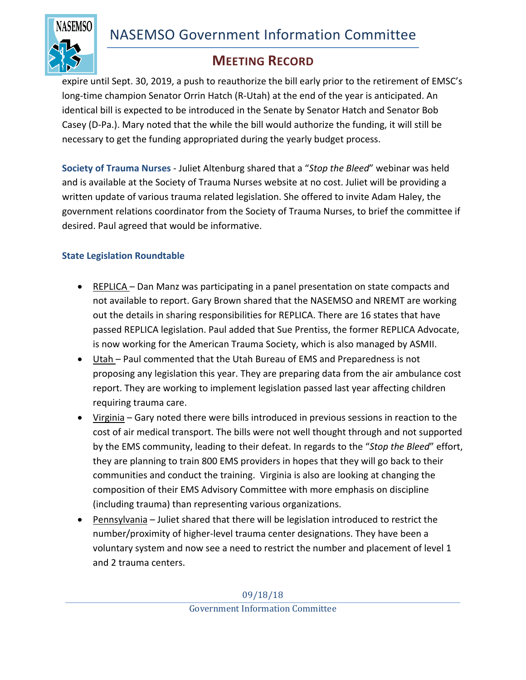

## **MEETING RECORD**

expire until Sept. 30, 2019, a push to reauthorize the bill early prior to the retirement of EMSC's long-time champion Senator Orrin Hatch (R-Utah) at the end of the year is anticipated. An identical bill is expected to be introduced in the Senate by Senator Hatch and Senator Bob Casey (D-Pa.). Mary noted that the while the bill would authorize the funding, it will still be necessary to get the funding appropriated during the yearly budget process.

**Society of Trauma Nurses** - Juliet Altenburg shared that a "*Stop the Bleed*" webinar was held and is available at the Society of Trauma Nurses website at no cost. Juliet will be providing a written update of various trauma related legislation. She offered to invite Adam Haley, the government relations coordinator from the Society of Trauma Nurses, to brief the committee if desired. Paul agreed that would be informative.

## **State Legislation Roundtable**

- REPLICA Dan Manz was participating in a panel presentation on state compacts and not available to report. Gary Brown shared that the NASEMSO and NREMT are working out the details in sharing responsibilities for REPLICA. There are 16 states that have passed REPLICA legislation. Paul added that Sue Prentiss, the former REPLICA Advocate, is now working for the American Trauma Society, which is also managed by ASMII.
- Utah Paul commented that the Utah Bureau of EMS and Preparedness is not proposing any legislation this year. They are preparing data from the air ambulance cost report. They are working to implement legislation passed last year affecting children requiring trauma care.
- Virginia Gary noted there were bills introduced in previous sessions in reaction to the cost of air medical transport. The bills were not well thought through and not supported by the EMS community, leading to their defeat. In regards to the "*Stop the Bleed*" effort, they are planning to train 800 EMS providers in hopes that they will go back to their communities and conduct the training. Virginia is also are looking at changing the composition of their EMS Advisory Committee with more emphasis on discipline (including trauma) than representing various organizations.
- Pennsylvania Juliet shared that there will be legislation introduced to restrict the number/proximity of higher-level trauma center designations. They have been a voluntary system and now see a need to restrict the number and placement of level 1 and 2 trauma centers.